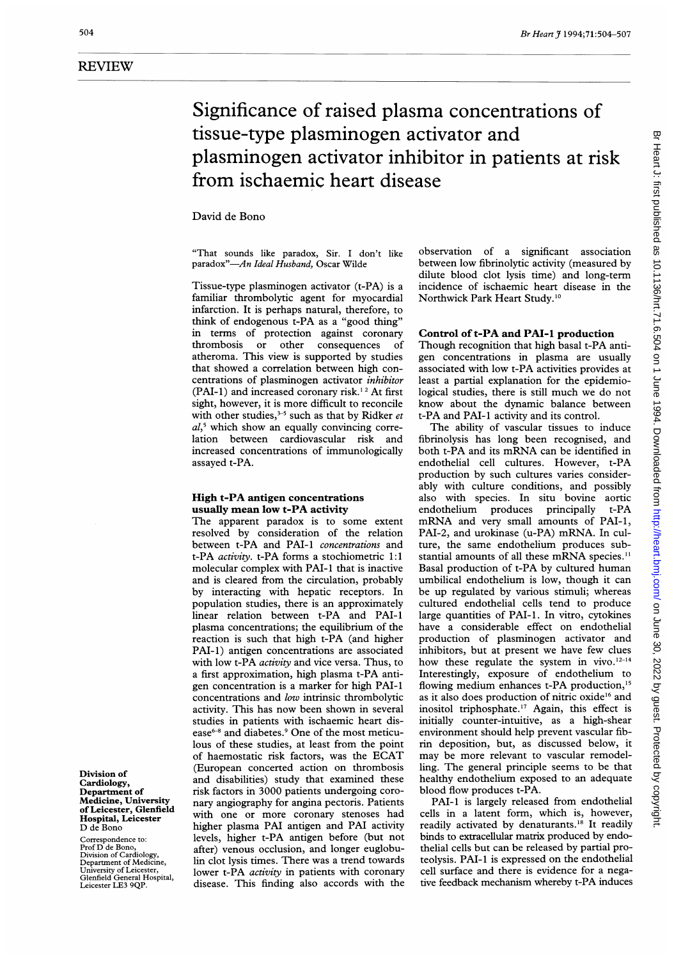# Significance of raised plasma concentrations of tissue-type plasminogen activator and plasminogen activator inhibitor in patients at risk from ischaemic heart disease

David de Bono

"That sounds like paradox, Sir. <sup>I</sup> don't like paradox"-An Ideal Husband, Oscar Wilde

Tissue-type plasminogen activator (t-PA) is a familiar thrombolytic agent for myocardial infarction. It is perhaps natural, therefore, to think of endogenous t-PA as a "good thing" in terms of protection against coronary thrombosis or other consequences of atheroma. This view is supported by studies that showed a correlation between high concentrations of plasminogen activator inhibitor (PAI-1) and increased coronary risk.<sup>12</sup> At first sight, however, it is more difficult to reconcile with other studies,  $3-5$  such as that by Ridker et  $al<sub>2</sub>$ <sup>5</sup> which show an equally convincing correlation between cardiovascular risk and increased concentrations of immunologically assayed t-PA.

### High t-PA antigen concentrations usually mean low t-PA activity

The apparent paradox is to some extent resolved by consideration of the relation between t-PA and PAI-1 concentrations and t-PA activity. t-PA forms a stochiometric 1:1 molecular complex with PAI-I that is inactive and is cleared from the circulation, probably by interacting with hepatic receptors. In population studies, there is an approximately linear relation between t-PA and PAI-1 plasma concentrations; the equilibrium of the reaction is such that high t-PA (and higher PAI-1) antigen concentrations are associated with low t-PA *activity* and vice versa. Thus, to a first approximation, high plasma t-PA antigen concentration is a marker for high PAI-i concentrations and low intrinsic thrombolytic activity. This has now been shown in several studies in patients with ischaemic heart disease<sup>6-8</sup> and diabetes.<sup>9</sup> One of the most meticulous of these studies, at least from the point of haemostatic risk factors, was the ECAT (European concerted action on thrombosis and disabilities) study that examined these risk factors in 3000 patients undergoing coronary angiography for angina pectoris. Patients with one or more coronary stenoses had higher plasma PAI antigen and PAI activity levels, higher t-PA antigen before (but not after) venous occlusion, and longer euglobulin clot lysis times. There was a trend towards lower t-PA *activity* in patients with coronary disease. This finding also accords with the

observation of a significant association between low fibrinolytic activity (measured by dilute blood clot lysis time) and long-term incidence of ischaemic heart disease in the Northwick Park Heart Study.'0

### Control of t-PA and PAI-1 production

Though recognition that high basal t-PA antigen concentrations in plasma are usually associated with low t-PA activities provides at least a partial explanation for the epidemiological studies, there is still much we do not know about the dynamic balance between t-PA and PAI-1 activity and its control.

The ability of vascular tissues to induce fibrinolysis has long been recognised, and both t-PA and its mRNA can be identified in endothelial cell cultures. However, t-PA production by such cultures varies considerably with culture conditions, and possibly also with species. In situ bovine aortic endothelium produces principally t-PA mRNA and very small amounts of PAI-1, PAI-2, and urokinase (u-PA) mRNA. In culture, the same endothelium produces substantial amounts of all these mRNA species.<sup>11</sup> Basal production of t-PA by cultured human umbilical endothelium is low, though it can be up regulated by various stimuli; whereas cultured endothelial cells tend to produce large quantities of PAI-1. In vitro, cytokines have a considerable effect on endothelial production of plasminogen activator and inhibitors, but at present we have few clues how these regulate the system in vivo. $12-14$ Interestingly, exposure of endothelium to flowing medium enhances t-PA production,<sup>15</sup> as it also does production of nitric oxide'6 and inositol triphosphate.'7 Again, this effect is initially counter-intuitive, as a high-shear environment should help prevent vascular fibrin deposition, but, as discussed below, it may be more relevant to vascular remodelling. The general principle seems to be that healthy endothelium exposed to an adequate blood flow produces t-PA.

PAI-1 is largely released from endothelial cells in a latent form, which is, however, readily activated by denaturants.'8 It readily binds to extracellular matrix produced by endothelial cells but can be released by partial proteolysis. PAI-1 is expressed on the endothelial cell surface and there is evidence for a negative feedback mechanism whereby t-PA induces

Division of Cardiology, Department of Medicine, University of Leicester, Glenfield Hospital, Leicester D de Bono

Correspondence to: Prof D de Bono, Division of Cardiology, Department of Medicine, University of Leicester, Glenfield General Hospital, Leicester LE3 9QP.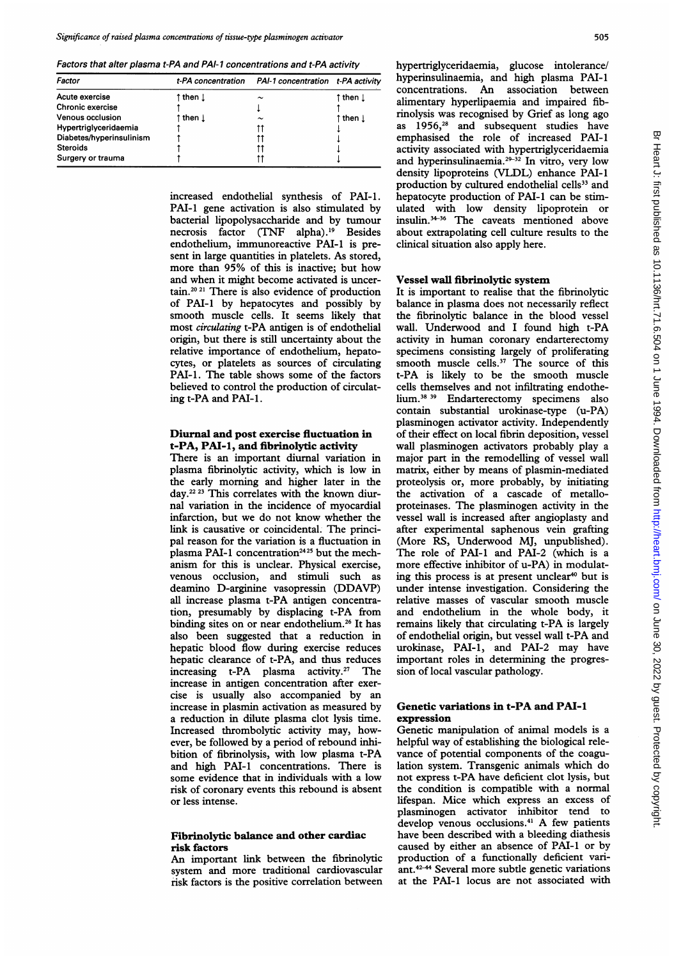Factors that alter plasma t-PA and PAI- <sup>1</sup> concentrations and t-PA activity

| Factor                   |          | t-PA concentration  PAI-1 concentration t-PA activity |         |
|--------------------------|----------|-------------------------------------------------------|---------|
| Acute exercise           | ↑then ⊥  | $\tilde{\phantom{a}}$                                 | ↑then ⊥ |
| Chronic exercise         |          |                                                       |         |
| <b>Venous occlusion</b>  | ↑ then ⊥ | $\tilde{}$                                            | ↑then ↓ |
| Hypertriglyceridaemia    |          |                                                       |         |
| Diabetes/hyperinsulinism |          |                                                       |         |
| <b>Steroids</b>          |          |                                                       |         |
| Surgery or trauma        |          |                                                       |         |

increased endothelial synthesis of PAI-1. PAI-1 gene activation is also stimulated by bacterial lipopolysaccharide and by tumour necrosis factor (TNF alpha).'9 Besides endothelium, immunoreactive PAI-1 is present in large quantities in platelets. As stored, more than 95% of this is inactive; but how and when it might become activated is uncertain.20 <sup>21</sup> There is also evidence of production of PAI-I by hepatocytes and possibly by smooth muscle cells. It seems likely that most circulating t-PA antigen is of endothelial origin, but there is still uncertainty about the relative importance of endothelium, hepatocytes, or platelets as sources of circulating PAI-1. The table shows some of the factors believed to control the production of circulating t-PA and PAI-1.

#### Diurnal and post exercise fluctuation in t-PA, PAI-1, and fibrinolytic activity

There is an important diurnal variation in plasma fibrinolytic activity, which is low in the early morning and higher later in the day.<sup>22 23</sup> This correlates with the known diurnal variation in the incidence of myocardial infarction, but we do not know whether the link is causative or coincidental. The principal reason for the variation is a fluctuation in plasma PAI-1 concentration<sup>2425</sup> but the mechanism for this is unclear. Physical exercise, venous occlusion, and stimuli such as deamino D-arginine vasopressin (DDAVP) all increase plasma t-PA antigen concentration, presumably by displacing t-PA from binding sites on or near endothelium.<sup>26</sup> It has also been suggested that a reduction in hepatic blood flow during exercise reduces hepatic clearance of t-PA, and thus reduces increasing t-PA plasma activity.<sup>27</sup> The increase in antigen concentration after exercise is usually also accompanied by an increase in plasmin activation as measured by a reduction in dilute plasma clot lysis time. Increased thrombolytic activity may, however, be followed by a period of rebound inhibition of fibrinolysis, with low plasma t-PA and high PAI-1 concentrations. There is some evidence that in individuals with a low risk of coronary events this rebound is absent or less intense.

#### Fibrinolytic balance and other cardiac risk factors

An important link between the fibrinolytic system and more traditional cardiovascular risk factors is the positive correlation between hypertriglyceridaemia, glucose intolerance/ hyperinsulinaemia, and high plasma PAI-1 concentrations. An association between alimentary hyperlipaemia and impaired fibrinolysis was recognised by Grief as long ago as 1956,<sup>28</sup> and subsequent studies have emphasised the role of increased PAI-I activity associated with hypertriglyceridaemia and hyperinsulinaemia.<sup>29-32</sup> In vitro, very low density lipoproteins (VIDL) enhance PAI-1 production by cultured endothelial cells<sup>33</sup> and hepatocyte production of PAI-1 can be stimulated with low density lipoprotein or insulin.<sup>34-36</sup> The caveats mentioned above about extrapolating cell culture results to the clinical situation also apply here.

#### Vessel wall fibrinolytic system

It is important to realise that the fibrinolytic balance in plasma does not necessarily reflect the fibrinolytic balance in the blood vessel wall. Underwood and <sup>I</sup> found high t-PA activity in human coronary endarterectomy specimens consisting largely of proliferating smooth muscle cells. $37$  The source of this t-PA is likely to be the smooth muscle cells themselves and not infiltrating endothehium.38 <sup>39</sup> Endarterectomy specimens also contain substantial urokinase-type (u-PA) plasminogen activator activity. Independently of their effect on local fibrin deposition, vessel wall plasminogen activators probably play a major part in the remodelling of vessel wall matrix, either by means of plasmin-mediated proteolysis or, more probably, by initiating the activation of a cascade of metalloproteinases. The plasminogen activity in the vessel wall is increased after angioplasty and after experimental saphenous vein grafting (More RS, Underwood MJ, unpublished). The role of PAI-1 and PAI-2 (which is a more effective inhibitor of u-PA) in modulating this process is at present unclear<sup>40</sup> but is under intense investigation. Considering the relative masses of vascular smooth muscle and endothelium in the whole body, it remains likely that circulating t-PA is largely of endothelial origin, but vessel wall t-PA and urokinase, PAI-1, and PAI-2 may have important roles in determining the progression of local vascular pathology.

#### Genetic variations in t-PA and PAI-I expression

Genetic manipulation of animal models is a helpful way of establishing the biological relevance of potential components of the coagulation system. Transgenic animals which do not express t-PA have deficient clot lysis, but the condition is compatible with a normal lifespan. Mice which express an excess of plasminogen activator inhibitor tend to develop venous occlusions.<sup>41</sup> A few patients have been described with a bleeding diathesis caused by either an absence of PAI-1 or by production of a functionally deficient variant.<sup>42-44</sup> Several more subtle genetic variations at the PAI-1 locus are not associated with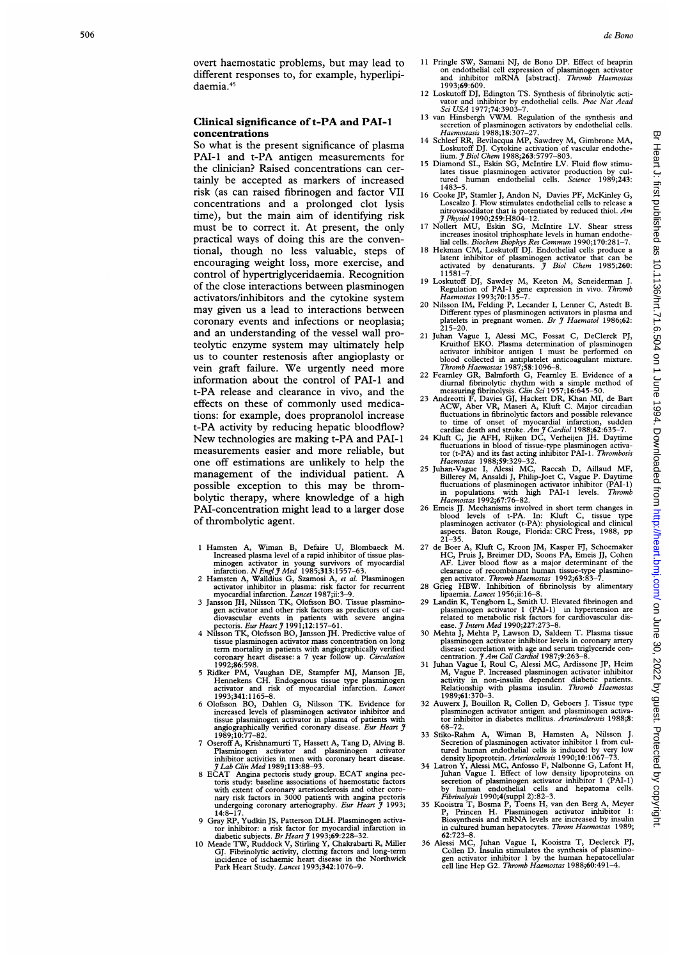#### Clinical significance of t-PA and PAI-1 concentrations

So what is the present significance of plasma PAI-I and t-PA antigen measurements for the clinician? Raised concentrations can certainly be accepted as markers of increased risk (as can raised fibrinogen and factor VII concentrations and a prolonged clot lysis time), but the main aim of identifying risk must be to correct it. At present, the only practical ways of doing this are the conventional, though no less valuable, steps of encouraging weight loss, more exercise, and control of hypertriglyceridaemia. Recognition of the close interactions between plasminogen activators/inhibitors and the cytokine system may given us a lead to interactions between coronary events and infections or neoplasia; and an understanding of the vessel wall proteolytic enzyme system may ultimately help us to counter restenosis after angioplasty or vein graft failure. We urgently need more information about the control of PAI-I and t-PA release and clearance in vivo, and the effects on these of commonly used medications: for example, does propranolol increase t-PA activity by reducing hepatic bloodflow? New technologies are making t-PA and PAI-I measurements easier and more reliable, but one off estimations are unlikely to help the management of the individual patient. A possible exception to this may be thrombolytic therapy, where knowledge of a high PAI-concentration might lead to a larger dose of thrombolytic agent.

- 
- 
- 1 Hamsten A, Wiman B, Defaire U, Blombacck M.<br>
Increased plasma level of a rapid inhibitor of tissue plasminogen activator in young survivors of myocardial<br>
infarction. *N Engl J Med* 1985;313:1557–63.<br>
2 Hamsten A, Walld
- tissue plasminogen activator mass concentration on long
- term mortality in patients with angiographically verified<br>coronary heart disease: a 7 year follow up. *Circulation*<br>1992;86:598.<br>5 Ridker PM, Vaughan DE, Stampfer MJ, Manson JE,<br>Hennekens CH. Endogenous tissue type plasmi
- angiographically verified coronary disease. Eur Heart 3 1989;10:77-82.
- 7 Oseroff A, Krishnamurti T, Hassett A, Tang D, Alving B.<br>Plasminogen activator and plasminogen activator<br>inhibitor activities in men with coronary heart disease.<br> $J Lab Clin Med 1989;113:88-93.$
- 8 EČAT Angina pectoris study group. ECAT angina pectoris study: baseline associations of haemostatic factors with extent of coronary arteriosclerosis and other coronary risk factors in 3000 patients with angina pectoris un
- 
- 14:8–17.<br>
9 Gray RP, Yudkin JS, Patterson DLH. Plasminogen activator in this force that factor for myocardial infarction in diabetic subjects. *Br Heart* J 1993;69:228–32.<br>
10 Meade TW, Ruddock V, Stirling Y, Chakrabarti
- <sup>11</sup> Pringle SW, Samani NJ, de Bono DP. Effect of heaprin on endothelial cell expression of plasminogen activator<br>and inhibitor mRNA [abstract]. *Thromb Haemostas*
- 1993;69:609.<br>12 Loskutoff DJ, Edington TS. Synthesis of fibrinolytic acti-
- The value of the property of the value of the value of the value of the value of the value of the value of the state of the state of the state of the state of plasminogen activators by endothelial cells. The memorature of
- 14 Schleef RR, Bevilacqua MP, Sawdrey M, Gimbrone MA,<br>
Loskutoff DJ. Cytokine activation of vascular endothe-<br>
lium. J Biol Chem 1988;263:5797-803.<br>
15 Diamond SL, Eskin SG, McIntire LV. Fluid flow stimu-
- lates ussue plasminogen activator production by cultured human endothelial cells. Science 1989;243:<br>1483–5.
- 16 Cooke JP, Stamler J, Andon N, Davies PF, McKinley G,<br>
Loscalzo L Flow stimulates endothelial cells to release a Loscalzo J. Flow stimulates endothelial cells to release a nitrovasodilator that is potentiated by reduced thiol. Am
- J Physiol 1990;259:H804-12. <sup>17</sup> Nollert MU, Eskin SG, McIntire LV. Shear stress increases inositol triphosphate levels in human endothe-
- lial cells. Biochem Biophys Res Commun 1990;170:281-7. 18 Hekman CM, Loskutoff DJ. Endothelial cells produce a latent inhibitor of plasminogen activator that can be<br>activated by denaturants. *J Biol Chem* 1985;260:
- 11581-7.<br>
19 Loskutoff DJ, Sawdey M, Keeton M, Scneiderman J.<br>
Regulation of PAI-1 gene expression in vivo. Thromb<br>
Haemostas 1993;70:135-7.<br>
20 Nilsson IM, Felding P, Lecander I, Lenner C, Astedt B.
- Different types of plasminogen activators in plasma and<br>platelets in pregnant women. *Br J Haematol* 1986;62:
- 215-20. <sup>21</sup> Juhan Vague I, Alessi MC, Fossat C, DeClerck PJ,
- 
- Kruithof EKO. Plasma determination of plasminogen<br>activator inhibitor antigon 1 must be performed on<br>blood collected in antiplatelet anticoagulant mixture.<br>Thromb Haemostas 1987;58:1096-8.<br>22 Fearnley GR, Balmforth G, Fea
- 24 Kluft C, Jie AFH, Rijken DC, Verheijen JH. Daytime
- fluctuations in blood of tissue-type plasminogen activa-<br>tor (t-PA) and its fast acting inhibitor PAI-1. *Thrombosis*<br>*Haemostas* 1988;59:329-32.<br>25 Juhan-Vague I, Alessi MC, Raccah D, Aillaud MF,<br>Billerey M, Ansaldi J, Ph
- 26 Emeis JJ. Mechanisms involved in short term changes in blood levels of t-PA. In: Kluft C, tissue type plasminogen activator (t-PA): physiological and clinical aspects. Baton Rouge, Florida: CRC Press, 1988, pp
- 21-35.<br>
27 de Boer A, Kluft C, Kroon JM, Kasper FJ, Schoemaker<br>
HC, Pruis J, Breimer DD, Soons PA, Emeis JJ, Cohen<br>
AF. Liver blood flow as a major determinant of the<br>
clearance of recombinant human tissue-type plasmino-<br>
- 
- Inatemia. *Lancet* 1996;ii:10–8.<br>29 Landin K, Tengborn L, Smith U. Elevated fibrinogen and<br>plasminogen activator 1 (PAI-1) in hypertension are<br>related to metabolic risk factors for cardiovascular dis-<br>ease. *J Intern Me*
- 
- plasminogen activator inhibitor levels in coronary artery<br>disease: correlation with age and serum triglyceride con-<br>centration.  $\hat{J}Am$  Coll Cardiol 1987;9:263-8.<br>31 Juhan Vague I, Roul C, Alessi MC, Ardissone JP, Heim<br>M 1989:61:370
- 32 Auwerx J, Bouillon R, Collen D, Geboers J. Tissue type plasminogen activator antigen and plasminogen activa-tor inhibitor in diabetes mellitus. Arteriosclerosis 1988;8:
- 
- 68–72.<br>
Both Chamma B, Hamsten A, Nilsson J.<br>
68–72.<br>
Science of plasminogen activator inhibitor 1 from cultured human endothelial cells is induced by very low<br>
density lipoprotein. Arteriosclerosis 1990;10:1067–73.<br>
34 La
- 
- 36 Alessi MC, Juhan Vague I, Kooistra T, Declerck PJ, Collen D. Insulin stimulates the synthesis of plasmino-<br>gen activator inhibitor 1 by the human hepatocellular<br>cell line Hep G2. *Thromb Haemostas* 1988;60:491-4.

꽂